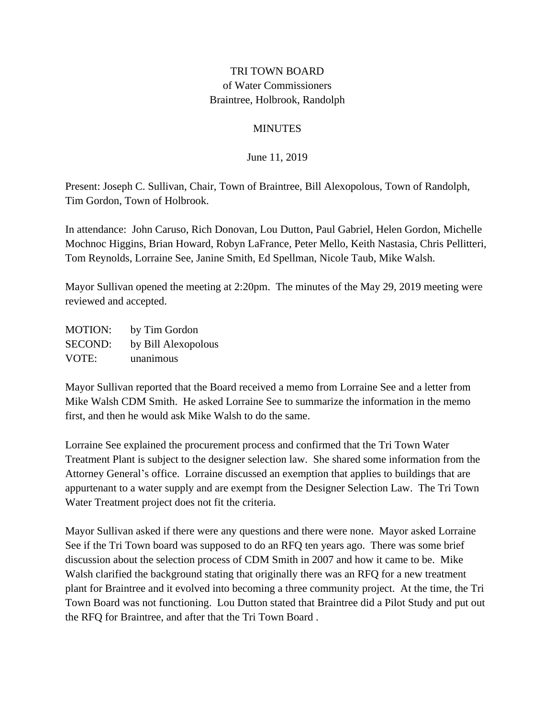## TRI TOWN BOARD of Water Commissioners Braintree, Holbrook, Randolph

## **MINUTES**

June 11, 2019

Present: Joseph C. Sullivan, Chair, Town of Braintree, Bill Alexopolous, Town of Randolph, Tim Gordon, Town of Holbrook.

In attendance: John Caruso, Rich Donovan, Lou Dutton, Paul Gabriel, Helen Gordon, Michelle Mochnoc Higgins, Brian Howard, Robyn LaFrance, Peter Mello, Keith Nastasia, Chris Pellitteri, Tom Reynolds, Lorraine See, Janine Smith, Ed Spellman, Nicole Taub, Mike Walsh.

Mayor Sullivan opened the meeting at 2:20pm. The minutes of the May 29, 2019 meeting were reviewed and accepted.

MOTION: by Tim Gordon SECOND: by Bill Alexopolous VOTE: unanimous

Mayor Sullivan reported that the Board received a memo from Lorraine See and a letter from Mike Walsh CDM Smith. He asked Lorraine See to summarize the information in the memo first, and then he would ask Mike Walsh to do the same.

Lorraine See explained the procurement process and confirmed that the Tri Town Water Treatment Plant is subject to the designer selection law. She shared some information from the Attorney General's office. Lorraine discussed an exemption that applies to buildings that are appurtenant to a water supply and are exempt from the Designer Selection Law. The Tri Town Water Treatment project does not fit the criteria.

Mayor Sullivan asked if there were any questions and there were none. Mayor asked Lorraine See if the Tri Town board was supposed to do an RFQ ten years ago. There was some brief discussion about the selection process of CDM Smith in 2007 and how it came to be. Mike Walsh clarified the background stating that originally there was an RFQ for a new treatment plant for Braintree and it evolved into becoming a three community project. At the time, the Tri Town Board was not functioning. Lou Dutton stated that Braintree did a Pilot Study and put out the RFQ for Braintree, and after that the Tri Town Board .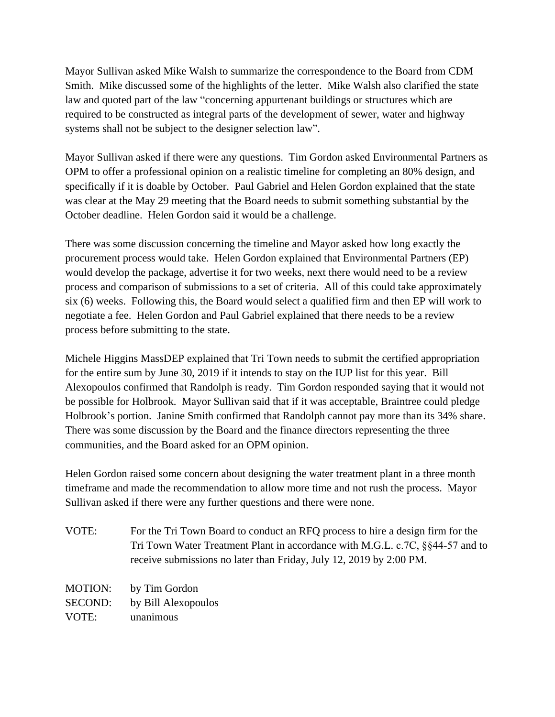Mayor Sullivan asked Mike Walsh to summarize the correspondence to the Board from CDM Smith. Mike discussed some of the highlights of the letter. Mike Walsh also clarified the state law and quoted part of the law "concerning appurtenant buildings or structures which are required to be constructed as integral parts of the development of sewer, water and highway systems shall not be subject to the designer selection law".

Mayor Sullivan asked if there were any questions. Tim Gordon asked Environmental Partners as OPM to offer a professional opinion on a realistic timeline for completing an 80% design, and specifically if it is doable by October. Paul Gabriel and Helen Gordon explained that the state was clear at the May 29 meeting that the Board needs to submit something substantial by the October deadline. Helen Gordon said it would be a challenge.

There was some discussion concerning the timeline and Mayor asked how long exactly the procurement process would take. Helen Gordon explained that Environmental Partners (EP) would develop the package, advertise it for two weeks, next there would need to be a review process and comparison of submissions to a set of criteria. All of this could take approximately six (6) weeks. Following this, the Board would select a qualified firm and then EP will work to negotiate a fee. Helen Gordon and Paul Gabriel explained that there needs to be a review process before submitting to the state.

Michele Higgins MassDEP explained that Tri Town needs to submit the certified appropriation for the entire sum by June 30, 2019 if it intends to stay on the IUP list for this year. Bill Alexopoulos confirmed that Randolph is ready. Tim Gordon responded saying that it would not be possible for Holbrook. Mayor Sullivan said that if it was acceptable, Braintree could pledge Holbrook's portion. Janine Smith confirmed that Randolph cannot pay more than its 34% share. There was some discussion by the Board and the finance directors representing the three communities, and the Board asked for an OPM opinion.

Helen Gordon raised some concern about designing the water treatment plant in a three month timeframe and made the recommendation to allow more time and not rush the process. Mayor Sullivan asked if there were any further questions and there were none.

VOTE: For the Tri Town Board to conduct an RFQ process to hire a design firm for the Tri Town Water Treatment Plant in accordance with M.G.L. c.7C, §§44-57 and to receive submissions no later than Friday, July 12, 2019 by 2:00 PM.

MOTION: by Tim Gordon SECOND: by Bill Alexopoulos VOTE: unanimous